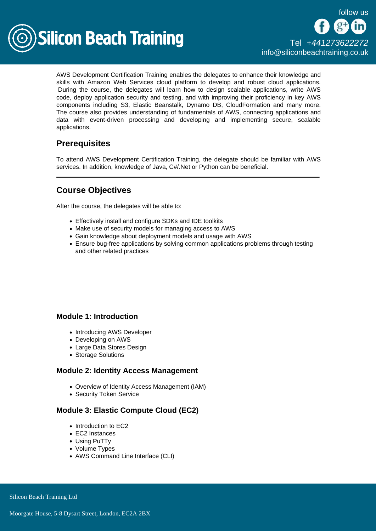

AWS Development Certification Training enables the delegates to enhance their knowledge and skills with Amazon Web Services cloud platform to develop and robust cloud applications. During the course, the delegates will learn how to design scalable applications, write AWS code, deploy application security and testing, and with improving their proficiency in key AWS components including S3, Elastic Beanstalk, Dynamo DB, CloudFormation and many more. The course also provides understanding of fundamentals of AWS, connecting applications and data with event-driven processing and developing and implementing secure, scalable applications.

# **Prerequisites**

To attend AWS Development Certification Training, the delegate should be familiar with AWS services. In addition, knowledge of Java, C#/.Net or Python can be beneficial.

# Course Objectives

After the course, the delegates will be able to:

- Effectively install and configure SDKs and IDE toolkits
- Make use of security models for managing access to AWS
- Gain knowledge about deployment models and usage with AWS
- Ensure bug-free applications by solving common applications problems through testing and other related practices

## Module 1: Introduction

- Introducing AWS Developer
- Developing on AWS
- Large Data Stores Design
- Storage Solutions

#### Module 2: Identity Access Management

- Overview of Identity Access Management (IAM)
- Security Token Service

## Module 3: Elastic Compute Cloud (EC2)

- Introduction to EC2
- EC2 Instances
- Using PuTTy
- Volume Types
- AWS Command Line Interface (CLI)

Silicon Beach Training Ltd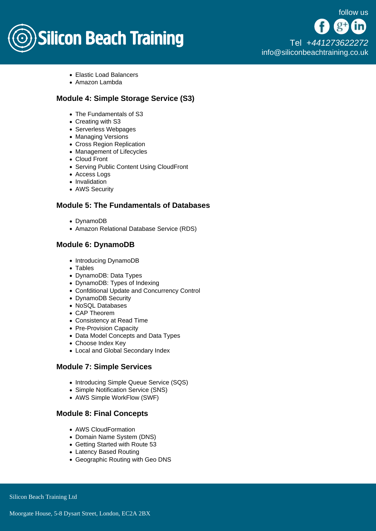

[Tel +44](tel:+441273622272)1273622272 [info@siliconbeachtraining.co.uk](/var/www/html/siliconbeachtraining.co.uk/public/mailTo:info@siliconbeachtraining.co.uk)

- Elastic Load Balancers
- Amazon Lambda

## Module 4: Simple Storage Service (S3)

- The Fundamentals of S3
- Creating with S3
- Serverless Webpages
- Managing Versions
- Cross Region Replication
- Management of Lifecycles
- Cloud Front
- Serving Public Content Using CloudFront
- Access Logs
- Invalidation
- AWS Security

#### Module 5: The Fundamentals of Databases

- DvnamoDB
- Amazon Relational Database Service (RDS)

## Module 6: DynamoDB

- Introducing DynamoDB
- Tables
- DynamoDB: Data Types
- DynamoDB: Types of Indexing
- Confditional Update and Concurrency Control
- DynamoDB Security
- NoSQL Databases
- CAP Theorem
- Consistency at Read Time
- Pre-Provision Capacity
- Data Model Concepts and Data Types
- Choose Index Key
- Local and Global Secondary Index

#### Module 7: Simple Services

- Introducing Simple Queue Service (SQS)
- Simple Notification Service (SNS)
- AWS Simple WorkFlow (SWF)

#### Module 8: Final Concepts

- AWS CloudFormation
- Domain Name System (DNS)
- Getting Started with Route 53
- Latency Based Routing
- Geographic Routing with Geo DNS

Silicon Beach Training Ltd